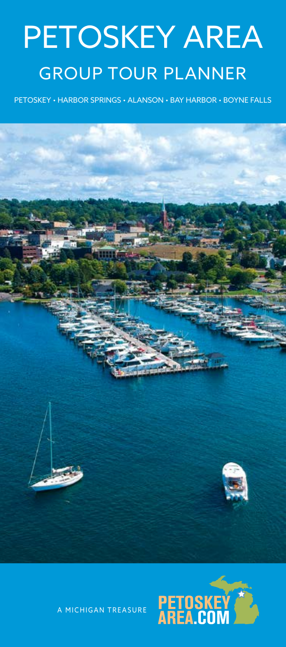# PETOSKEY AREA GROUP TOUR PLANNER

PETOSKEY • HARBOR SPRINGS • ALANSON • BAY HARBOR • BOYNE FALLS





A MICHIGAN TREASURE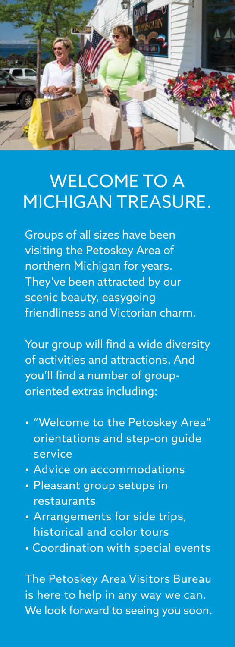

## WELCOME TO A MICHIGAN TREASURE.

Groups of all sizes have been visiting the Petoskey Area of northern Michigan for years. They've been attracted by our scenic beauty, easygoing friendliness and Victorian charm.

Your group will find a wide diversity of activities and attractions. And you'll find a number of grouporiented extras including:

- "Welcome to the Petoskey Area" orientations and step-on guide service
- Advice on accommodations
- Pleasant group setups in restaurants
- Arrangements for side trips, historical and color tours
- Coordination with special events

The Petoskey Area Visitors Bureau is here to help in any way we can. We look forward to seeing you soon.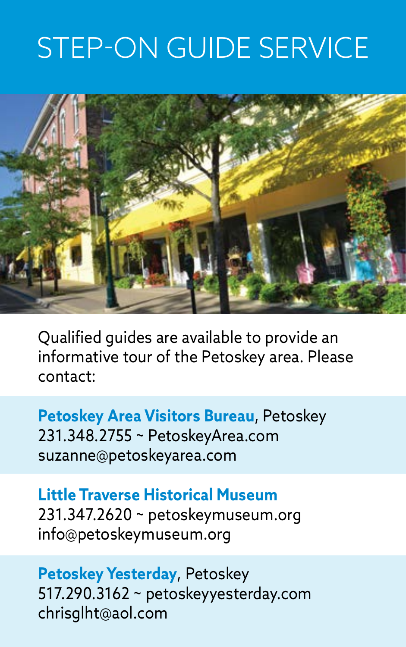## STEP-ON GUIDE SERVICE



Qualified guides are available to provide an informative tour of the Petoskey area. Please contact:

**Petoskey Area Visitors Bureau**, Petoskey 231.348.2755 ~ [PetoskeyArea.com](http://PetoskeyArea.com)  [suzanne@petoskeyarea.com](mailto:suzanne@petoskeyarea.com) 

**Little Traverse Historical Museum**  231.347.2620 ~ [petoskeymuseum.org](http://petoskeymuseum.org)  [info@petoskeymuseum.org](mailto:info@petoskeymuseum.org)

**Petoskey Yesterday**, Petoskey 517.290.3162 ~ [petoskeyyesterday.com](http://petoskeyyesterday.com) [chrisglht@aol.com](mailto:chrisglht@aol.com)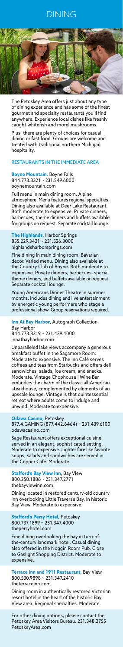## DINING



The Petoskey Area offers just about any type of dining experience and has some of the finest gourmet and specialty restaurants you'll find anywhere. Experience local dishes like freshly caught whitefish and morel mushrooms.

Plus, there are plenty of choices for casual dining or fast food. Groups are welcome and treated with traditional northern Michigan hospitality.

## RESTAURANTS IN THE IMMEDIATE AREA

**Boyne Mountain**, Boyne Falls 844.773.8321 ~ 231.549.6000 [boynemountain.com](http://boynemountain.com) 

Full menu in main dining room. Alpine atmosphere. Menu features regional specialties. Dining also available at Deer Lake Restaurant. Both moderate to expensive. Private dinners, barbecues, theme dinners and buffets available for groups on request. Separate cocktail lounge.

Unparalleled lake views accompany a generous breakfast buffet in the Sagamore Room. Moderate to expensive. The Inn Café serves coffees and teas from Starbucks and offers deli sandwiches, salads, ice cream, and snacks. Moderate. Vintage Chophouse | Wine Bar embodies the charm of the classic all-American steakhouse, complemented by elements of an upscale lounge. Vintage is that quintessential retreat where adults come to indulge and l. Moderate to expensive.

**The Highlands**, Harbor Springs 855.229.3421 ~ 231.526.3000 [highlandsharborsprings.com](http://highlandsharborsprings.com)

Fine dining in main dining room. Bavarian decor. Varied menu. Dining also available at the Country Club of Boyne. Both moderate to expensive. Private dinners, barbecues, special theme dinners, and buffets available on request. Separate cocktail lounge.

Young Americans Dinner Theatre in summer months. Includes dining and live entertainment by energetic young performers who stage a professional show. Group reservations required.

**Inn At Bay Harbor**, Autograph Collection, Bay Harbor 844.773.8319 ~ 231.439.4000 [innatbayharbor.com](http://innatbayharbor.com) 

**Odawa Casino**, Petoskey 877.4.GAMING (877.442.6464) ~ 231.439.6100 [odawacasino.com](http://odawacasino.com)

Sage Restaurant offers exceptional cuisine served in an elegant, sophisticated setting. Moderate to expensive. Lighter fare like favorite soups, salads and sandwiches are served in the Copper Café. Moderate.

**Stafford's Bay View Inn**, Bay View 800.258.1886 ~ 231.347.2771 [thebayviewinn.com](http://thebayviewinn.com)

Dining located in restored century-old country inn overlooking Little Traverse Bay. In historic Bay View. Moderate to expensive.

**Stafford's Perry Hotel**, Petoskey 800.737.1899 ~ 231.347.4000 [theperryhotel.com](http://theperryhotel.com)

Fine dining overlooking the bay in turn-ofthe-century landmark hotel. Casual dining also offered in the Noggin Room Pub. Close to Gaslight Shopping District. Moderate to expensive.

**Terrace Inn and 1911 Restaurant**, Bay View 800.530.9898 ~ 231.347.2410 [theterraceinn.com](http://theterraceinn.com) 

Dining room in authentically restored Victorian resort hotel in the heart of the historic Bay View area. Regional specialties. Moderate.

For other dining options, please contact the Petoskey Area Visitors Bureau. 231.348.2755 [PetoskeyArea.com](http://PetoskeyArea.com)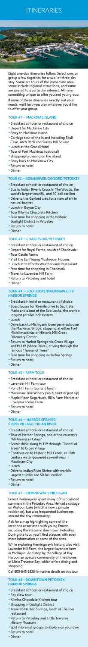## ITINERARIES



Eight one-day itineraries follow. Select one, or group a few together, for a two- or three-day stay. Some are tours of the immediate area, some include regional attractions, and some are geared to a particular interest. All have something unique to offer you and your group.

If none of these itineraries exactly suit your needs, we'll help you plan whatever you'd like to offer your group.

## TOUR #1 — MACKINAC ISLAND

- •Breakfast at hotel or restaurant of choice
- Depart for Mackinaw City
- Ferry to Mackinac Island
- •Carriage tour of the island including Skull Cave, Arch Rock and Surrey Hill Square
- Lunch at the Grand Hotel
- •Tour of Fort Mackinac (optional)
- Shopping/browsing on the island
- Ferry back to Mackinaw City
- •Return to hotel
- Dinner

## TOUR #2 — INDIAN RIVER/GAYLORD/PETOSKEY

- •Breakfast at hotel or restaurant of choice
- •Bus to Indian River's Cross In The Woods, the world's largest crucifix, and 50-bell carillon
- Drive to the Gaylord area for a view of elk in natural habitat
- Lunch in Boyne City
- •Tour Kilwins Chocolate Kitchen
- Free time for shopping in the historic Gaslight District in Petoskey
- •Return to hotel
- Dinner

## TOUR #3 — CHARLEVOIX/PETOSKEY

- •Breakfast at hotel or restaurant of choice
- Depart for Royal Farms, south of Charlevoix
- •Tour Castle Farms
- •Visit the Earl Young Mushroom Houses
- Lunch at Stafford's Weathervane Restaurant
- Free time for shopping in Charlevoix
- •Travel to Lavender Hill Farm
- •Return to Petoskey and hotel
- Dinner

TOUR #4 — SOO LOCKS/MACKINAW CITY/

## HARBOR SPRINGS

- •Breakfast in hotel or restaurant of choice
- •Board buses for 95-mile drive to Sault Ste. Marie and a tour of the Soo Locks, the world's longest parallel lock system
- Lunch
- Drive back to Michigan's lower peninsula over the Mackinac Bridge, stopping at either Fort Michilimackinac or Historic Mill Creek Discovery Center
- •Return to Harbor Springs via Cross Village and M-119 (Shore Drive), driving through the famous "Tunnel of Trees"
- Free time for shopping in Harbor Springs
- •Return to hotel
- Dinner

## TOUR #5 – FARM TOUR

- •Breakfast at hotel or restaurant of choice
- Lavender Hill Farm tour
- •Pond Hill Farm tour and lunch
- Mackinaw Trail Winery (sip & paint or just sip)
- Maple Moon Sugarbush, Bill's Farm Market or Coveyou Scenic Farm
- •Return to hotel
- Dinner

## TOUR #6 — HARBOR SPRINGS/ CROSS VILLAGE/INDIAN RIVER

- •Breakfast at hotel or restaurant of choice
- •Tour of Harbor Springs, one of the country's "All-American Cities"
- Scenic drive along M-119 through "Tunnel of Trees" to Cross Village
- •Continue on to Historic Mill Creek, an 18th century water-powered sawmill near Mackinaw City
- Lunch
- Drive to Indian River Shrine with world's largest crucifix and 50-bell carillon
- •Return to hotel
- Dinner

## TOUR #7 — HEMINGWAY'S MICHIGAN

Ernest Hemingway spent many of his boyhood summers in the Petoskey Area. He had a cottage on Walloon Lake (which is now a private residence), but also frequented businesses around the tiny community.

Ask for a map highlighting some of the locations associated with young Ernest, including the statue in downtown Petoskey. During the tour, you'll find plaques with even more information at some of the sites.

While exploring Hemingway's history, also visit Lavender Hill Farm, the largest lavender farm in Michigan. And stop by the Village at Bay Harbor, an upscale community on the shores of Little Traverse Bay, which offers dining and shopping.

Call 800-845-2828 for further details on this tour.

TOUR #8 – DOWNTOWN PETOSKEY/ HARBOR SPRINGS

- •Breakfast at hotel or restaurant of choice
- •Bay View tour
- •Kilwins Chocolate Kitchen tour
- Shopping in Gaslight District
- •Travel to Harbor Springs, lunch at The Pier restaurant
- •Return to Petoskey and Little Traverse History Museum
- Split into small groups to explore on your own
- •Return to hotel
- Dinner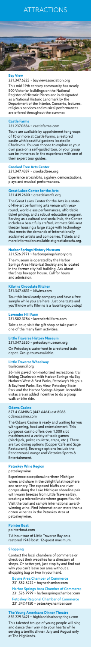## **ATTRACTIONS**



### **Bay View**

231.347.6225 ~ [bayviewassociation.org](http://bayviewassociation.org) 

This mid-19th century community has nearly 500 Victorian buildings on the National Register of Historic Places and is designated as a National Historic Landmark by the Department of the Interior. Concerts, lectures, religious services and musical performances are offered throughout the summer.

## **Castle Farms**

## 231.237.0884 ~ [castlefarms.com](http://castlefarms.com)

Tours are available by appointment for groups of 10 or more at Castle Farms, a restored castle with beautiful gardens located in Charlevoix. You can choose to explore at your own pace on a self-guided tour, or your group can be immersed in the experience with one of their expert tour guides.

### **Crooked Tree Arts Center**

231.347.4337 ~ [crookedtree.org](http://crookedtree.org)

Experience art exhibits, a gallery, demonstrations, plays and musical performances.

## **Great Lakes Center for the Arts**  231.439.2600 ~ [greatlakescfa.org](http://greatlakescfa.org)

The Great Lakes Center for the Arts is a stateof-the-art performing arts venue with yearround, world-class performances, affordable ticket pricing, and a robust education program. Serving as a cultural and social hub, the Center includes a beautifully crafted, intimate 500-seat theater housing a large stage with technology that meets the demands of internationally acclaimed artists and companies. Tickets and more information available at [greatlakescfa.org.](http://greatlakescfa.org)

### **Harbor Springs History Museum**  231.526.9771 ~ [harborspringshistory.org](http://harborspringshistory.org)

The museum is operated by the Harbor Springs Area Historical Society and is located in the former city hall building. Ask about the Shay hexagon house. Call for hours and admission.

#### **Kilwins Chocolate Kitchen**  231.347.4831 ~ [kilwins.com](http://kilwins.com)

Tour this local candy company and have a free sample while you are here! Just one taste and

you'll know why Kilwins is a favorite group stop!

### **Lavender Hill Farm**

231.582.3784 ~ [lavenderhillfarm.com](http://lavenderhillfarm.com)  Take a tour, visit the gift shop or take part in one of the many farm activities.

### **Little Traverse History Museum**

231.347.2620 ~ [petoskeymuseum.org](http://petoskeymuseum.org) 

On Petoskey's waterfront in a restored train depot. Group tours available.

## **Little Traverse Wheelway**

[trailscouncil.org](http://trailscouncil.org)

26-mile paved non-motorized recreational trail linking Charlevoix with Harbor Springs via Bay Harbor's West & East Parks, Petoskey's Magnus & Bayfront Parks, Bay View, Petoskey State Park and the Harbor Springs Airport. Incredible vistas are an added incentive to do a group walk or bike ride.

#### **Odawa Casino**

877.4.GAMING (442.6464) ext 8088 [odawacasino.com](http://odawacasino.com)

The Odawa Casino is ready and waiting for you with gaming, food and entertainment. This gorgeous casino offers over 1,000 slot machines and a variety of table games (blackjack, poker, roulette, craps, etc.). There are two dining options (Copper Café and Sage Restaurant). Beverage options include the Rendezvous Lounge and Victories Sports & Entertainment.

## **Petoskey Wine Region**

[petoskey.wine](https://petoskey.wine)

Experience exceptional northern Michigan wines and share in the delightful atmosphere and scenery. The exposed bluffs and river gorges along the Lake Michigan shoreline pair with warm breezes from Little Traverse Bay, creating a microclimate where grapes flourish. Visit the trail and sample international awardwinning wine. Find information on more than a dozen wineries in the Petoskey Area at petoskey.wine.

#### **Pointer Boat**

[pointerboat.com](http://pointerboat.com)

1½ hour tour of Little Traverse Bay on a restored 1943 boat. 12-guest maximum.

## **Shopping**

Contact the local chambers of commerce or check out their websites for a directory of shops. Or better yet, just stop by and find out why you can't leave our area without a shopping bag or two in your hand.

Boyne Area Chamber of Commerce 231.582.6222 ~ [boynechamber.com](https://www.boynechamber.com)  Harbor Springs Area Chamber of Commerce 231.526.7999 ~ [harborspringschamber.com](http://harborspringschamber.com) Petoskey Regional Chamber of Commerce 231.347.4150 ~ [petoskeychamber.com](http://petoskeychamber.com) 

**The Young Americans Dinner Theatre**  855.229.3421 ~ [highlandsharborsprings.com](http://highlandsharborsprings.com) This talented troupe of young people will sing and dance their way into your hearts while serving a terrific dinner. July and August only at The Highlands.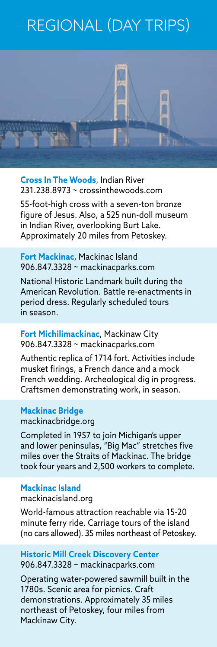## REGIONAL (DAY TRIPS)



**Cross In The Woods**, Indian River 231.238.8973 ~ [crossinthewoods.com](http://crossinthewoods.com)

55-foot-high cross with a seven-ton bronze figure of Jesus. Also, a 525 nun-doll museum in Indian River, overlooking Burt Lake. Approximately 20 miles from Petoskey.

**Fort Mackinac**, Mackinac Island 906.847.3328 ~ [mackinacparks.com](http://mackinacparks.com) 

National Historic Landmark built during the American Revolution. Battle re-enactments in period dress. Regularly scheduled tours in season.

### **Fort Michilimackinac**, Mackinaw City 906.847.3328 ~ [mackinacparks.com](http://mackinacparks.com)

Authentic replica of 1714 fort. Activities include musket firings, a French dance and a mock French wedding. Archeological dig in progress. Craftsmen demonstrating work, in season.

#### **Mackinac Bridge**

[mackinacbridge.org](http://mackinacbridge.org)

Completed in 1957 to join Michigan's upper and lower peninsulas, "Big Mac" stretches five miles over the Straits of Mackinac. The bridge took four years and 2,500 workers to complete.

## **Mackinac Island**

[mackinacisland.org](http://mackinacisland.org) 

World-famous attraction reachable via 15-20 minute ferry ride. Carriage tours of the island (no cars allowed). 35 miles northeast of Petoskey.

### **Historic Mill Creek Discovery Center**  906.847.3328 ~ [mackinacparks.com](http://mackinacparks.com)

Operating water-powered sawmill built in the 1780s. Scenic area for picnics. Craft demonstrations. Approximately 35 miles northeast of Petoskey, four miles from Mackinaw City.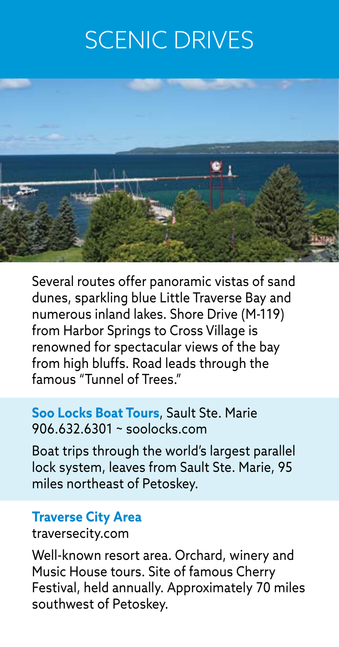## SCENIC DRIVES



Several routes offer panoramic vistas of sand dunes, sparkling blue Little Traverse Bay and numerous inland lakes. Shore Drive (M-119) from Harbor Springs to Cross Village is renowned for spectacular views of the bay from high bluffs. Road leads through the famous "Tunnel of Trees."

#### **Soo Locks Boat Tours**, Sault Ste. Marie 906.632.6301 ~ [soolocks.com](http://soolocks.com)

Boat trips through the world's largest parallel lock system, leaves from Sault Ste. Marie, 95 miles northeast of Petoskey.

#### **Traverse City Area**

[traversecity.com](http://traversecity.com) 

Well-known resort area. Orchard, winery and Music House tours. Site of famous Cherry Festival, held annually. Approximately 70 miles southwest of Petoskey.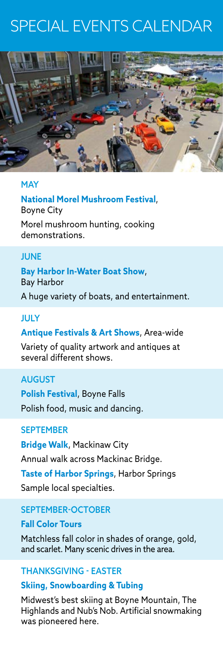## SPECIAL EVENTS CALENDAR



## **MAY**

**National Morel Mushroom Festival**, Boyne City Morel mushroom hunting, cooking demonstrations.

## **JUNE**

**Bay Harbor In-Water Boat Show**, Bay Harbor

A huge variety of boats, and entertainment.

## JULY

## **Antique Festivals & Art Shows**, Area-wide

Variety of quality artwork and antiques at several different shows.

## AUGUST

**Polish Festival**, Boyne Falls Polish food, music and dancing.

## **SEPTEMBER**

**Bridge Walk**, Mackinaw City Annual walk across Mackinac Bridge. **Taste of Harbor Springs**, Harbor Springs Sample local specialties.

## SEPTEMBER-OCTOBER

**Fall Color Tours** Matchless fall color in shades of orange, gold, and scarlet. Many scenic drives in the area.

## THANKSGIVING - EASTER

## **Skiing, Snowboarding & Tubing**

Midwest's best skiing at Boyne Mountain, The Highlands and Nub's Nob. Artificial snowmaking was pioneered here.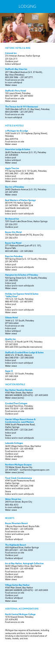## LODGING



## HISTORIC HOTELS & INNS

#### **Colonial Inn**

210 Artesian Avenue, Harbor Springs 231.526.2111 Outdoor pool Indoor whirlpool

#### **Stafford's Bay View Inn**

2011 Woodland Avenue (U.S. 31 North), Bay View (Petoskey) 800.258.1886 ~ 231.347.2771 Food service on site In-room whirlpool Water views

## **Stafford's Perry Hotel**

1420 South U.S. 131 Highway (Spring Street), Petoskey 866.439.9718 Food service on site Water views

100 Lewis Street, Petoskey 800.737.1899 ~ 231.347.4000 Food service on site Water views

#### **The Terrace Inn & 1911 Restaurant**

1549 Glendale (off U.S. 31, Bay View), Petoskey 800.530.9898 ~ 231.347.2410 Food service on site In-room whirlpool

## HOTELS & MOTELS

#### **@ Michigan Inn & Lodge**

### **AmericInn Lodge & Suites** 2645 Charlevoix Avenue (U.S. 31), Petoskey 231.439.8000

Indoor pool Indoor whirlpool Water views

## **Apple Tree Inn**

915 Spring Street (U.S. 131 South), Petoskey 800.348.2901 ~ 231.348.2900 Indoor pool Indoor and in-room whirlpools Water views

**Bay Inn of Petoskey** 2445 Charlevoix Avenue (U.S. 31), Petoskey 231.347.2593 Water views

### **Best Western of Harbor Springs**

8514 M-119, Harbor Springs 231.347.9050 ~ 800.528.1234 (worldwide reservations) Indoor pool Indoor and in-room whirlpools

#### **Birchwood Inn**

7291 South Lake Shore Drive, Harbor Springs 231.526.2151 Outdoor pool

#### **Boyne City Motel**

110 North East Street (M-75), Boyne City 231.582.6701

#### **Boyne Vue Motel**

2711 Railroad Street (just off U.S. 131), Boyne Falls 800.549.2822 ~ 231.549.2822

#### **Days Inn Petoskey**

909 Spring Street (U.S. 131 South), Petoskey 231.347.4193 Indoor pool Indoor and in-room whirlpools Water views

### **Hampton Inn & Suites of Petoskey** 920 Spring Street (U.S. 131 South), Petoskey 231.348.9555

Indoor pool Indoor and in-room whirlpools Water views

## **Holiday Inn Express Hotel & Suites**

**"Valley View"** 1751 U.S. 131 South, Petoskey 888.497.0105 ~ 231.487.0991 Indoor pool Sauna Indoor and in-room whirlpools Water views

### **Odawa Hotel**

1444 U.S. 131 South, Petoskey 877.442.6464 Food service on site Indoor pool Indoor whirlpool Water views

#### **Quality Inn**

1314 U.S. 31 North (at M-119), Petoskey 231.347.3220 800.228.5150 (worldwide reservations)

## **Stafford's Crooked River Lodge & Suites**

6845 U.S. 31 North, Alanson 866.548.0700 ~ 231.548.5000 Indoor pool Indoor and in-room whirlpool Water views

#### **Super 8**

1859 U.S. 131 South, Petoskey 231.348.3324 Indoor pool

## VACATION RENTALS

**Bay Harbor Vacation Rentals** 4160 Main Street, Bay Harbor 888.BAY.HARBOR (229.4272) ~ 231.439.2400 Water views (some)

#### **Crooked Tree Cottages**

Crooked Tree Drive, Petoskey 844.773.8319 ~ 231.439.4000 Food service on site Outdoor pool

#### **Hamlet Village Resort Homes & Condominiums, Land Masters**

5484 South Pleasantview Road, Harbor Springs 800.678.2341 ~ 231.526.2641 Indoor pool Sauna Indoor and in-room whirlpools

#### **Lakeside Cottages**

3600 Village Harbor Drive, Bay Harbor 844.773.8319 ~ 231.439.4000 Food service on site Outdoor pool Outdoor whirlpool Water views

#### **Northern Michigan Escapes**

110 Water Street, Boyne City 231.459.4257 ~ [northernmichiganescapes.com](http://northernmichiganescapes.com)  Water views (some)

#### **Trout Creek Condominiums**

4749 South Pleasantview Road, Harbor Springs 800.748.0245 ~ 231.526.2148 Indoor and outdoor pools Sauna Indoor and in-room whirlpools

#### **Water Street Inn**

240 Front Street, Boyne City 800.456.4313 In-room whirlpool Water views

#### RESORTS

#### **Boyne Mountain Resort**

1 Boyne Mountain Road, Boyne Falls 844.773.8321 ~ 231.549.6000 Food service on site Indoor and outdoor pools Sauna Outdoor whirlpool

**The Highlands Resort** 600 Highland Drive, Harbor Springs 855.229.3421 ~ 231.526.3000 Food service on site Outdoor pool Outdoor whirlpool

### **Inn at Bay Harbor, Autograph Collection**

3600 Village Harbor Drive, Bay Harbor 844.773.8319 ~ 231.439.4000 Food service on site Outdoor pool Outdoor whirlpool Water views

## **Village Suites Bay Harbor**

4160 Main Street, Bay Harbor 888.BAY.HARBOR (229.4272) ~ 231.439.2400 Food service on site Outdoor pool Outdoor whirlpool Water views

## ADDITIONAL ACCOMMODATIONS

#### **North Central Michigan College**

1515 Howard Street, Petoskey 231.439.6392 Food service on site

*Michigan law requires all businesses, including restaurants and bars, to be smoke free. Smoking is also banned in enclosed areas of hotels, motels, and inns.*